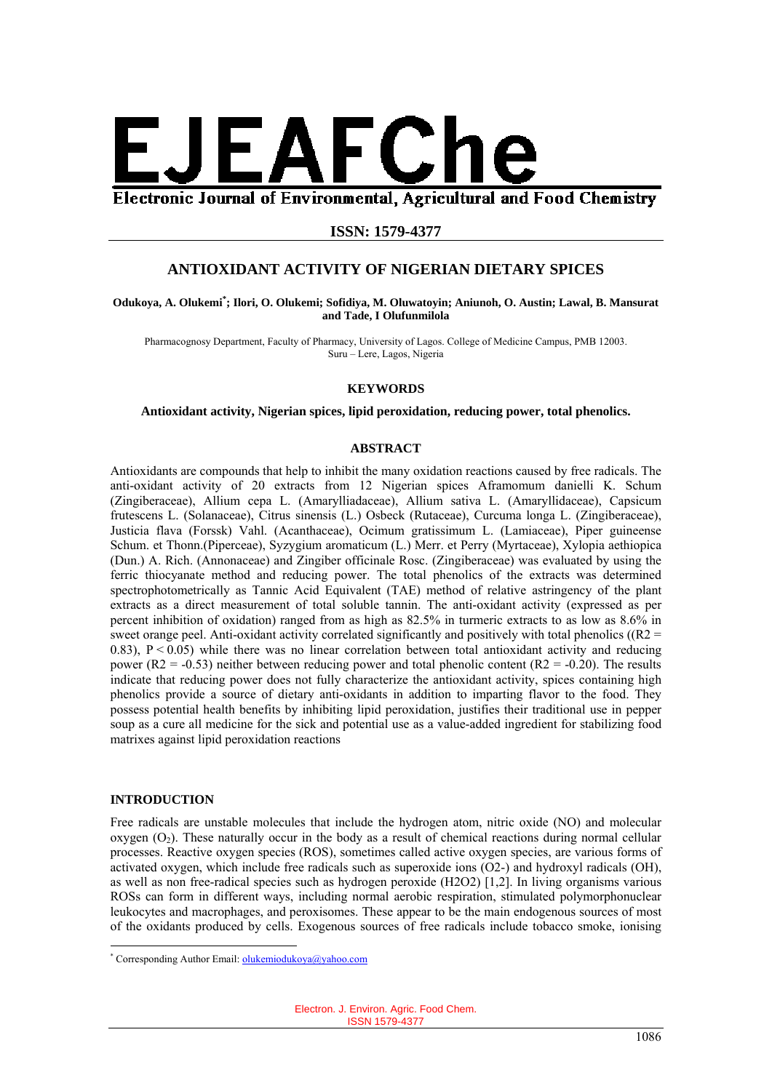

Electronic Journal of Environmental, Agricultural and Food Chemistry

# **ISSN: 1579-4377**

# **ANTIOXIDANT ACTIVITY OF NIGERIAN DIETARY SPICES**

#### **Odukoya, A. Olukemi\* ; Ilori, O. Olukemi; Sofidiya, M. Oluwatoyin; Aniunoh, O. Austin; Lawal, B. Mansurat and Tade, I Olufunmilola**

Pharmacognosy Department, Faculty of Pharmacy, University of Lagos. College of Medicine Campus, PMB 12003. Suru – Lere, Lagos, Nigeria

#### **KEYWORDS**

## **Antioxidant activity, Nigerian spices, lipid peroxidation, reducing power, total phenolics.**

### **ABSTRACT**

Antioxidants are compounds that help to inhibit the many oxidation reactions caused by free radicals. The anti-oxidant activity of 20 extracts from 12 Nigerian spices Aframomum danielli K. Schum (Zingiberaceae), Allium cepa L. (Amarylliadaceae), Allium sativa L. (Amaryllidaceae), Capsicum frutescens L. (Solanaceae), Citrus sinensis (L.) Osbeck (Rutaceae), Curcuma longa L. (Zingiberaceae), Justicia flava (Forssk) Vahl. (Acanthaceae), Ocimum gratissimum L. (Lamiaceae), Piper guineense Schum. et Thonn.(Piperceae), Syzygium aromaticum (L.) Merr. et Perry (Myrtaceae), Xylopia aethiopica (Dun.) A. Rich. (Annonaceae) and Zingiber officinale Rosc. (Zingiberaceae) was evaluated by using the ferric thiocyanate method and reducing power. The total phenolics of the extracts was determined spectrophotometrically as Tannic Acid Equivalent (TAE) method of relative astringency of the plant extracts as a direct measurement of total soluble tannin. The anti-oxidant activity (expressed as per percent inhibition of oxidation) ranged from as high as 82.5% in turmeric extracts to as low as 8.6% in sweet orange peel. Anti-oxidant activity correlated significantly and positively with total phenolics ( $(R2 =$ 0.83),  $P \le 0.05$ ) while there was no linear correlation between total antioxidant activity and reducing power ( $R2 = -0.53$ ) neither between reducing power and total phenolic content ( $R2 = -0.20$ ). The results indicate that reducing power does not fully characterize the antioxidant activity, spices containing high phenolics provide a source of dietary anti-oxidants in addition to imparting flavor to the food. They possess potential health benefits by inhibiting lipid peroxidation, justifies their traditional use in pepper soup as a cure all medicine for the sick and potential use as a value-added ingredient for stabilizing food matrixes against lipid peroxidation reactions

## **INTRODUCTION**

<u>.</u>

Free radicals are unstable molecules that include the hydrogen atom, nitric oxide (NO) and molecular oxygen  $(O_2)$ . These naturally occur in the body as a result of chemical reactions during normal cellular processes. Reactive oxygen species (ROS), sometimes called active oxygen species, are various forms of activated oxygen, which include free radicals such as superoxide ions (O2-) and hydroxyl radicals (OH), as well as non free-radical species such as hydrogen peroxide (H2O2) [1,2]. In living organisms various ROSs can form in different ways, including normal aerobic respiration, stimulated polymorphonuclear leukocytes and macrophages, and peroxisomes. These appear to be the main endogenous sources of most of the oxidants produced by cells. Exogenous sources of free radicals include tobacco smoke, ionising

<sup>\*</sup> Corresponding Author Email: **olukemiodukoya@yahoo.com**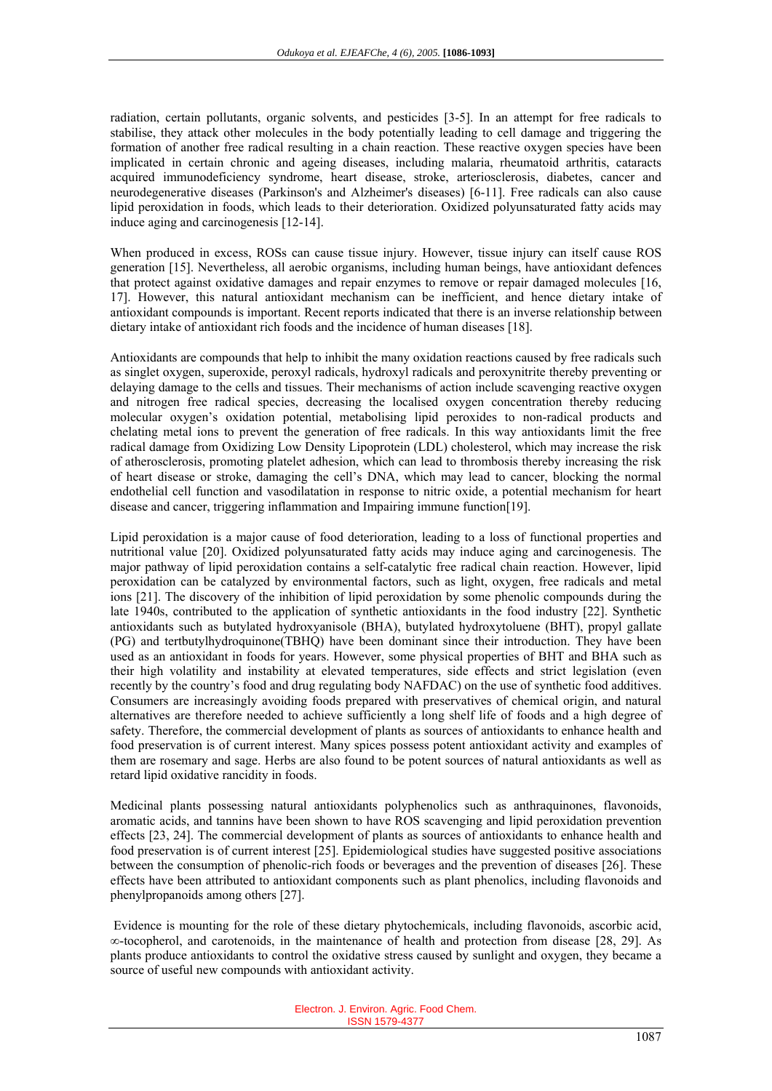radiation, certain pollutants, organic solvents, and pesticides [3-5]. In an attempt for free radicals to stabilise, they attack other molecules in the body potentially leading to cell damage and triggering the formation of another free radical resulting in a chain reaction. These reactive oxygen species have been implicated in certain chronic and ageing diseases, including malaria, rheumatoid arthritis, cataracts acquired immunodeficiency syndrome, heart disease, stroke, arteriosclerosis, diabetes, cancer and neurodegenerative diseases (Parkinson's and Alzheimer's diseases) [6-11]. Free radicals can also cause lipid peroxidation in foods, which leads to their deterioration. Oxidized polyunsaturated fatty acids may induce aging and carcinogenesis [12-14].

When produced in excess, ROSs can cause tissue injury. However, tissue injury can itself cause ROS generation [15]. Nevertheless, all aerobic organisms, including human beings, have antioxidant defences that protect against oxidative damages and repair enzymes to remove or repair damaged molecules [16, 17]. However, this natural antioxidant mechanism can be inefficient, and hence dietary intake of antioxidant compounds is important. Recent reports indicated that there is an inverse relationship between dietary intake of antioxidant rich foods and the incidence of human diseases [18].

Antioxidants are compounds that help to inhibit the many oxidation reactions caused by free radicals such as singlet oxygen, superoxide, peroxyl radicals, hydroxyl radicals and peroxynitrite thereby preventing or delaying damage to the cells and tissues. Their mechanisms of action include scavenging reactive oxygen and nitrogen free radical species, decreasing the localised oxygen concentration thereby reducing molecular oxygen's oxidation potential, metabolising lipid peroxides to non-radical products and chelating metal ions to prevent the generation of free radicals. In this way antioxidants limit the free radical damage from Oxidizing Low Density Lipoprotein (LDL) cholesterol, which may increase the risk of atherosclerosis, promoting platelet adhesion, which can lead to thrombosis thereby increasing the risk of heart disease or stroke, damaging the cell's DNA, which may lead to cancer, blocking the normal endothelial cell function and vasodilatation in response to nitric oxide, a potential mechanism for heart disease and cancer, triggering inflammation and Impairing immune function[19].

Lipid peroxidation is a major cause of food deterioration, leading to a loss of functional properties and nutritional value [20]. Oxidized polyunsaturated fatty acids may induce aging and carcinogenesis. The major pathway of lipid peroxidation contains a self-catalytic free radical chain reaction. However, lipid peroxidation can be catalyzed by environmental factors, such as light, oxygen, free radicals and metal ions [21]. The discovery of the inhibition of lipid peroxidation by some phenolic compounds during the late 1940s, contributed to the application of synthetic antioxidants in the food industry [22]. Synthetic antioxidants such as butylated hydroxyanisole (BHA), butylated hydroxytoluene (BHT), propyl gallate (PG) and tertbutylhydroquinone(TBHQ) have been dominant since their introduction. They have been used as an antioxidant in foods for years. However, some physical properties of BHT and BHA such as their high volatility and instability at elevated temperatures, side effects and strict legislation (even recently by the country's food and drug regulating body NAFDAC) on the use of synthetic food additives. Consumers are increasingly avoiding foods prepared with preservatives of chemical origin, and natural alternatives are therefore needed to achieve sufficiently a long shelf life of foods and a high degree of safety. Therefore, the commercial development of plants as sources of antioxidants to enhance health and food preservation is of current interest. Many spices possess potent antioxidant activity and examples of them are rosemary and sage. Herbs are also found to be potent sources of natural antioxidants as well as retard lipid oxidative rancidity in foods.

Medicinal plants possessing natural antioxidants polyphenolics such as anthraquinones, flavonoids, aromatic acids, and tannins have been shown to have ROS scavenging and lipid peroxidation prevention effects [23, 24]. The commercial development of plants as sources of antioxidants to enhance health and food preservation is of current interest [25]. Epidemiological studies have suggested positive associations between the consumption of phenolic-rich foods or beverages and the prevention of diseases [26]. These effects have been attributed to antioxidant components such as plant phenolics, including flavonoids and phenylpropanoids among others [27].

 Evidence is mounting for the role of these dietary phytochemicals, including flavonoids, ascorbic acid, ∞-tocopherol, and carotenoids, in the maintenance of health and protection from disease [28, 29]. As plants produce antioxidants to control the oxidative stress caused by sunlight and oxygen, they became a source of useful new compounds with antioxidant activity.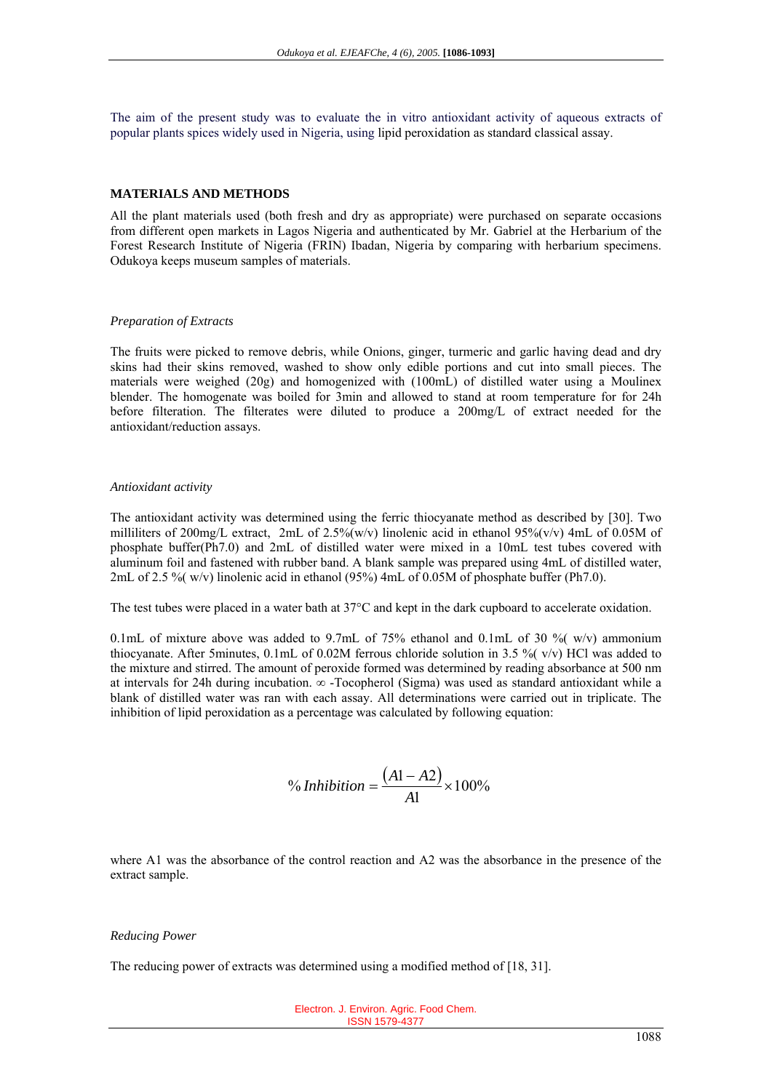The aim of the present study was to evaluate the in vitro antioxidant activity of aqueous extracts of popular plants spices widely used in Nigeria, using lipid peroxidation as standard classical assay.

## **MATERIALS AND METHODS**

All the plant materials used (both fresh and dry as appropriate) were purchased on separate occasions from different open markets in Lagos Nigeria and authenticated by Mr. Gabriel at the Herbarium of the Forest Research Institute of Nigeria (FRIN) Ibadan, Nigeria by comparing with herbarium specimens. Odukoya keeps museum samples of materials.

#### *Preparation of Extracts*

The fruits were picked to remove debris, while Onions, ginger, turmeric and garlic having dead and dry skins had their skins removed, washed to show only edible portions and cut into small pieces. The materials were weighed (20g) and homogenized with (100mL) of distilled water using a Moulinex blender. The homogenate was boiled for 3min and allowed to stand at room temperature for for 24h before filteration. The filterates were diluted to produce a 200mg/L of extract needed for the antioxidant/reduction assays.

#### *Antioxidant activity*

The antioxidant activity was determined using the ferric thiocyanate method as described by [30]. Two milliliters of 200mg/L extract, 2mL of 2.5%(w/v) linolenic acid in ethanol 95%(v/v) 4mL of 0.05M of phosphate buffer(Ph7.0) and 2mL of distilled water were mixed in a 10mL test tubes covered with aluminum foil and fastened with rubber band. A blank sample was prepared using 4mL of distilled water, 2mL of 2.5 %( w/v) linolenic acid in ethanol (95%) 4mL of 0.05M of phosphate buffer (Ph7.0).

The test tubes were placed in a water bath at 37°C and kept in the dark cupboard to accelerate oxidation.

0.1mL of mixture above was added to 9.7mL of 75% ethanol and 0.1mL of 30 %  $(w/v)$  ammonium thiocyanate. After 5minutes,  $0.1$ mL of  $0.02M$  ferrous chloride solution in 3.5 %  $(v/v)$  HCl was added to the mixture and stirred. The amount of peroxide formed was determined by reading absorbance at 500 nm at intervals for 24h during incubation. ∞ -Tocopherol (Sigma) was used as standard antioxidant while a blank of distilled water was ran with each assay. All determinations were carried out in triplicate. The inhibition of lipid peroxidation as a percentage was calculated by following equation:

<sup>9</sup> 100%  

$$
= \frac{(A1 - A2)}{A1} \times 100\%
$$

where A1 was the absorbance of the control reaction and A2 was the absorbance in the presence of the extract sample.

#### *Reducing Power*

The reducing power of extracts was determined using a modified method of [18, 31].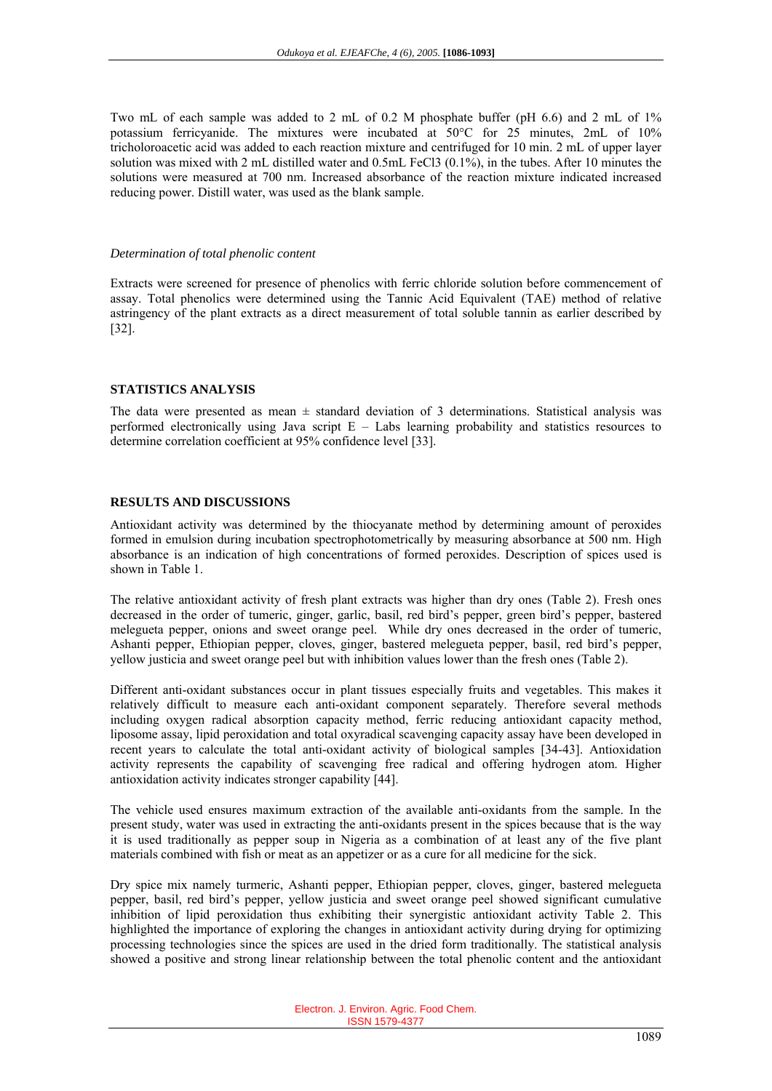Two mL of each sample was added to 2 mL of 0.2 M phosphate buffer (pH 6.6) and 2 mL of 1% potassium ferricyanide. The mixtures were incubated at 50°C for 25 minutes, 2mL of 10% tricholoroacetic acid was added to each reaction mixture and centrifuged for 10 min. 2 mL of upper layer solution was mixed with 2 mL distilled water and 0.5mL FeCl3 (0.1%), in the tubes. After 10 minutes the solutions were measured at 700 nm. Increased absorbance of the reaction mixture indicated increased reducing power. Distill water, was used as the blank sample.

#### *Determination of total phenolic content*

Extracts were screened for presence of phenolics with ferric chloride solution before commencement of assay. Total phenolics were determined using the Tannic Acid Equivalent (TAE) method of relative astringency of the plant extracts as a direct measurement of total soluble tannin as earlier described by [32].

## **STATISTICS ANALYSIS**

The data were presented as mean  $\pm$  standard deviation of 3 determinations. Statistical analysis was performed electronically using Java script  $E -$  Labs learning probability and statistics resources to determine correlation coefficient at 95% confidence level [33].

## **RESULTS AND DISCUSSIONS**

Antioxidant activity was determined by the thiocyanate method by determining amount of peroxides formed in emulsion during incubation spectrophotometrically by measuring absorbance at 500 nm. High absorbance is an indication of high concentrations of formed peroxides. Description of spices used is shown in Table 1.

The relative antioxidant activity of fresh plant extracts was higher than dry ones (Table 2). Fresh ones decreased in the order of tumeric, ginger, garlic, basil, red bird's pepper, green bird's pepper, bastered melegueta pepper, onions and sweet orange peel. While dry ones decreased in the order of tumeric, Ashanti pepper, Ethiopian pepper, cloves, ginger, bastered melegueta pepper, basil, red bird's pepper, yellow justicia and sweet orange peel but with inhibition values lower than the fresh ones (Table 2).

Different anti-oxidant substances occur in plant tissues especially fruits and vegetables. This makes it relatively difficult to measure each anti-oxidant component separately. Therefore several methods including oxygen radical absorption capacity method, ferric reducing antioxidant capacity method, liposome assay, lipid peroxidation and total oxyradical scavenging capacity assay have been developed in recent years to calculate the total anti-oxidant activity of biological samples [34-43]. Antioxidation activity represents the capability of scavenging free radical and offering hydrogen atom. Higher antioxidation activity indicates stronger capability [44].

The vehicle used ensures maximum extraction of the available anti-oxidants from the sample. In the present study, water was used in extracting the anti-oxidants present in the spices because that is the way it is used traditionally as pepper soup in Nigeria as a combination of at least any of the five plant materials combined with fish or meat as an appetizer or as a cure for all medicine for the sick.

Dry spice mix namely turmeric, Ashanti pepper, Ethiopian pepper, cloves, ginger, bastered melegueta pepper, basil, red bird's pepper, yellow justicia and sweet orange peel showed significant cumulative inhibition of lipid peroxidation thus exhibiting their synergistic antioxidant activity Table 2. This highlighted the importance of exploring the changes in antioxidant activity during drying for optimizing processing technologies since the spices are used in the dried form traditionally. The statistical analysis showed a positive and strong linear relationship between the total phenolic content and the antioxidant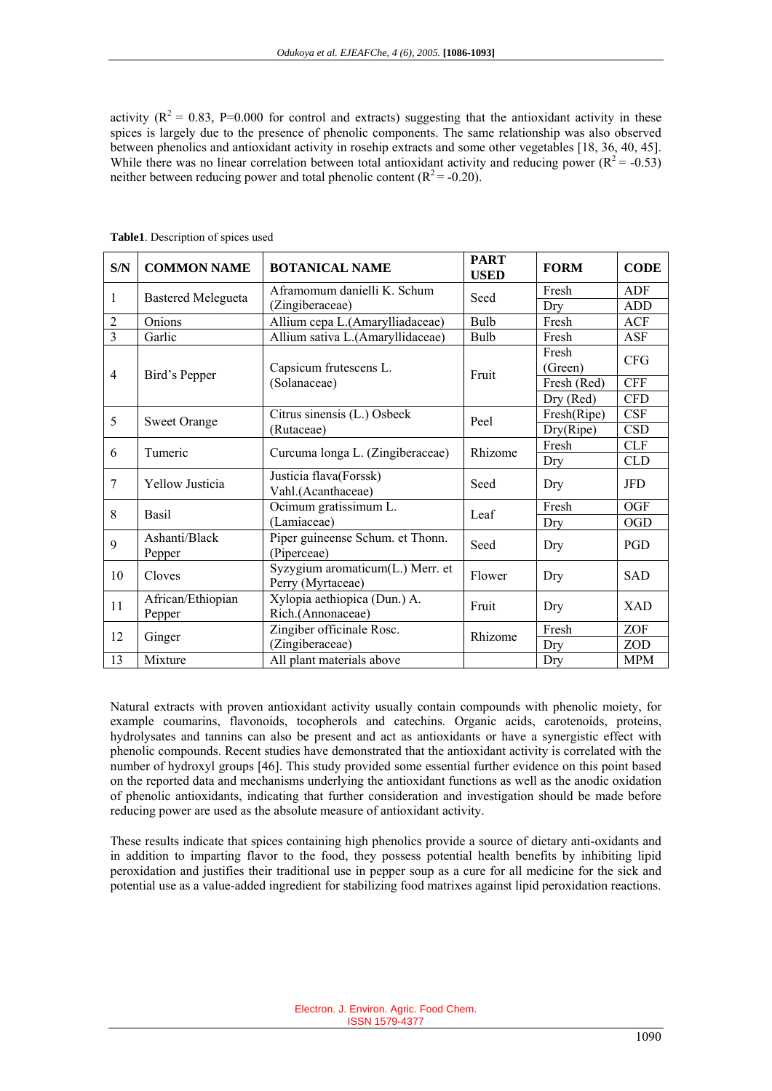activity ( $R^2 = 0.83$ , P=0.000 for control and extracts) suggesting that the antioxidant activity in these spices is largely due to the presence of phenolic components. The same relationship was also observed between phenolics and antioxidant activity in rosehip extracts and some other vegetables [18, 36, 40, 45]. While there was no linear correlation between total antioxidant activity and reducing power  $(R^2 = -0.53)$ neither between reducing power and total phenolic content  $(R^2 = -0.20)$ .

| S/N            | <b>COMMON NAME</b>        | <b>BOTANICAL NAME</b>                                         | <b>PART</b><br><b>USED</b> | <b>FORM</b> | <b>CODE</b> |
|----------------|---------------------------|---------------------------------------------------------------|----------------------------|-------------|-------------|
| $\mathbf{1}$   | <b>Bastered Melegueta</b> | Aframomum danielli K. Schum                                   | Seed                       | Fresh       | ADF         |
|                |                           | (Zingiberaceae)                                               |                            | Dry         | <b>ADD</b>  |
| $\overline{2}$ | <b>Onions</b>             | Allium cepa L.(Amarylliadaceae)                               | Bulb                       | Fresh       | ACF         |
| $\overline{3}$ | Garlic                    | Allium sativa L.(Amaryllidaceae)                              | Bulb                       | Fresh       | ASF         |
| $\overline{4}$ | Bird's Pepper             | Capsicum frutescens L.<br>(Solanaceae)                        | Fruit                      | Fresh       | <b>CFG</b>  |
|                |                           |                                                               |                            | (Green)     |             |
|                |                           |                                                               |                            | Fresh (Red) | <b>CFF</b>  |
|                |                           |                                                               |                            | Dry (Red)   | <b>CFD</b>  |
| 5              | <b>Sweet Orange</b>       | $\overline{\text{Citrus}}$ sinensis (L.) Osbeck<br>(Rutaceae) | Peel                       | Fresh(Ripe) | CSF         |
|                |                           |                                                               |                            | Dry(Ripe)   | <b>CSD</b>  |
| 6              | Tumeric                   | Curcuma longa L. (Zingiberaceae)                              | Rhizome                    | Fresh       | <b>CLF</b>  |
|                |                           |                                                               |                            | Dry         | <b>CLD</b>  |
| $\overline{7}$ | <b>Yellow Justicia</b>    | Justicia flava(Forssk)                                        | Seed                       | Dry         | <b>JFD</b>  |
|                |                           | Vahl.(Acanthaceae)                                            |                            |             |             |
| 8              | <b>Basil</b>              | Ocimum gratissimum L.                                         | Leaf                       | Fresh       | <b>OGF</b>  |
|                |                           | (Lamiaceae)                                                   |                            | Dry         | <b>OGD</b>  |
| 9              | Ashanti/Black             | Piper guineense Schum. et Thonn.                              | Seed                       | Dry         | PGD         |
|                | Pepper                    | (Piperceae)                                                   |                            |             |             |
| 10             | Cloves                    | Syzygium aromaticum(L.) Merr. et                              | Flower                     | Dry         | SAD         |
|                |                           | Perry (Myrtaceae)                                             |                            |             |             |
| 11             | African/Ethiopian         | Xylopia aethiopica (Dun.) A.                                  | Fruit                      | Dry         | <b>XAD</b>  |
|                | Pepper                    | Rich.(Annonaceae)                                             |                            |             |             |
| 12             | Ginger                    | Zingiber officinale Rosc.                                     | Rhizome                    | Fresh       | ZOF         |
|                |                           | (Zingiberaceae)                                               |                            | Dry         | <b>ZOD</b>  |
| 13             | Mixture                   | All plant materials above                                     |                            | Dry         | <b>MPM</b>  |

**Table1**. Description of spices used

Natural extracts with proven antioxidant activity usually contain compounds with phenolic moiety, for example coumarins, flavonoids, tocopherols and catechins. Organic acids, carotenoids, proteins, hydrolysates and tannins can also be present and act as antioxidants or have a synergistic effect with phenolic compounds. Recent studies have demonstrated that the antioxidant activity is correlated with the number of hydroxyl groups [46]. This study provided some essential further evidence on this point based on the reported data and mechanisms underlying the antioxidant functions as well as the anodic oxidation of phenolic antioxidants, indicating that further consideration and investigation should be made before reducing power are used as the absolute measure of antioxidant activity.

These results indicate that spices containing high phenolics provide a source of dietary anti-oxidants and in addition to imparting flavor to the food, they possess potential health benefits by inhibiting lipid peroxidation and justifies their traditional use in pepper soup as a cure for all medicine for the sick and potential use as a value-added ingredient for stabilizing food matrixes against lipid peroxidation reactions.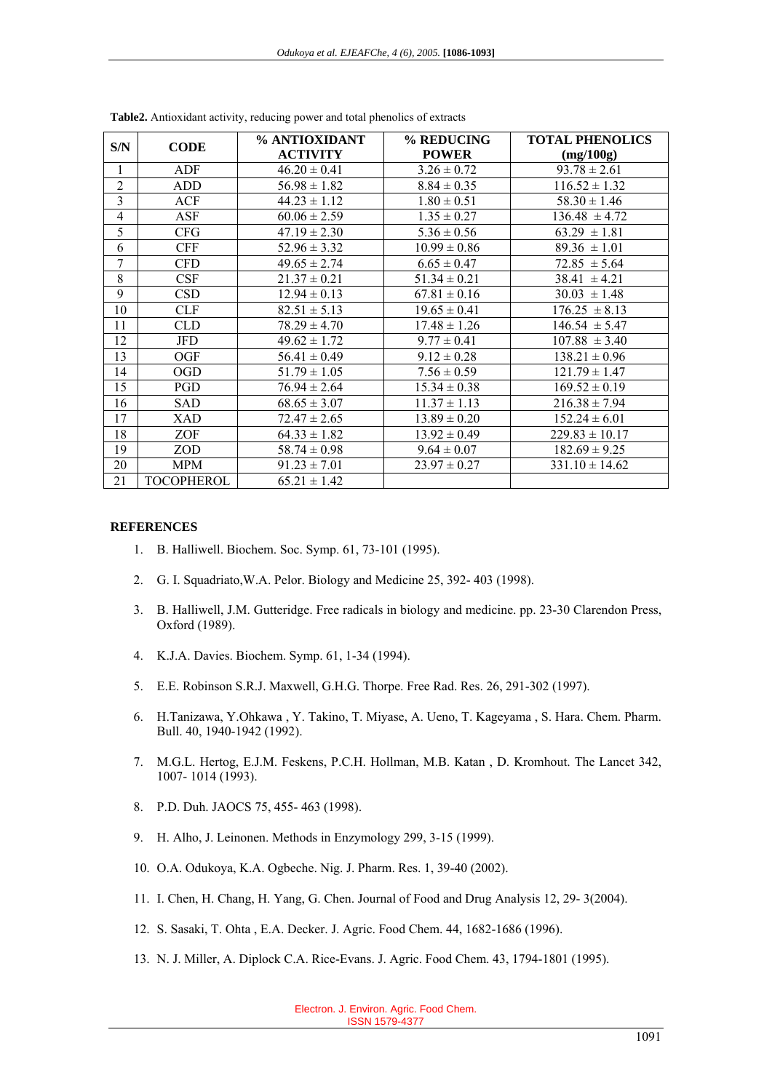| S/N                      | <b>CODE</b> | % ANTIOXIDANT    | % REDUCING       | <b>TOTAL PHENOLICS</b> |
|--------------------------|-------------|------------------|------------------|------------------------|
|                          |             | <b>ACTIVITY</b>  | <b>POWER</b>     | (mg/100g)              |
| $\mathbf{1}$             | ADF         | $46.20 \pm 0.41$ | $3.26 \pm 0.72$  | $93.78 \pm 2.61$       |
| $\overline{2}$           | ADD         | $56.98 \pm 1.82$ | $8.84 \pm 0.35$  | $116.52 \pm 1.32$      |
| $\overline{3}$           | ACF         | $44.23 \pm 1.12$ | $1.80 \pm 0.51$  | $58.30 \pm 1.46$       |
| $\overline{\mathcal{L}}$ | <b>ASF</b>  | $60.06 \pm 2.59$ | $1.35 \pm 0.27$  | $136.48 \pm 4.72$      |
| 5                        | <b>CFG</b>  | $47.19 \pm 2.30$ | $5.36 \pm 0.56$  | $63.29 \pm 1.81$       |
| 6                        | <b>CFF</b>  | $52.96 \pm 3.32$ | $10.99 \pm 0.86$ | $89.36 \pm 1.01$       |
| $\overline{7}$           | <b>CFD</b>  | $49.65 \pm 2.74$ | $6.65 \pm 0.47$  | $72.85 \pm 5.64$       |
| 8                        | CSF         | $21.37 \pm 0.21$ | $51.34 \pm 0.21$ | $38.41 \pm 4.21$       |
| 9                        | <b>CSD</b>  | $12.94 \pm 0.13$ | $67.81 \pm 0.16$ | $30.03 \pm 1.48$       |
| 10                       | <b>CLF</b>  | $82.51 \pm 5.13$ | $19.65 \pm 0.41$ | $176.25 \pm 8.13$      |
| 11                       | CLD         | $78.29 \pm 4.70$ | $17.48 \pm 1.26$ | $146.54 \pm 5.47$      |
| 12                       | <b>JFD</b>  | $49.62 \pm 1.72$ | $9.77 \pm 0.41$  | $107.88 \pm 3.40$      |
| 13                       | OGF         | $56.41 \pm 0.49$ | $9.12 \pm 0.28$  | $138.21 \pm 0.96$      |
| 14                       | <b>OGD</b>  | $51.79 \pm 1.05$ | $7.56 \pm 0.59$  | $121.79 \pm 1.47$      |
| 15                       | PGD         | $76.94 \pm 2.64$ | $15.34 \pm 0.38$ | $169.52 \pm 0.19$      |
| 16                       | SAD         | $68.65 \pm 3.07$ | $11.37 \pm 1.13$ | $216.38 \pm 7.94$      |
| 17                       | XAD         | $72.47 \pm 2.65$ | $13.89 \pm 0.20$ | $152.24 \pm 6.01$      |
| 18                       | ZOF         | $64.33 \pm 1.82$ | $13.92 \pm 0.49$ | $229.83 \pm 10.17$     |
| 19                       | ZOD         | $58.74 \pm 0.98$ | $9.64 \pm 0.07$  | $182.69 \pm 9.25$      |
| 20                       | <b>MPM</b>  | $91.23 \pm 7.01$ | $23.97 \pm 0.27$ | $331.10 \pm 14.62$     |
| 21                       | TOCOPHEROL  | $65.21 \pm 1.42$ |                  |                        |

**Table2.** Antioxidant activity, reducing power and total phenolics of extracts

#### **REFERENCES**

- 1. B. Halliwell. Biochem. Soc. Symp. 61, 73-101 (1995).
- 2. G. I. Squadriato,W.A. Pelor. Biology and Medicine 25, 392- 403 (1998).
- 3. B. Halliwell, J.M. Gutteridge. Free radicals in biology and medicine. pp. 23-30 Clarendon Press, Oxford (1989).
- 4. K.J.A. Davies. Biochem. Symp. 61, 1-34 (1994).
- 5. E.E. Robinson S.R.J. Maxwell, G.H.G. Thorpe. Free Rad. Res. 26, 291-302 (1997).
- 6. H.Tanizawa, Y.Ohkawa , Y. Takino, T. Miyase, A. Ueno, T. Kageyama , S. Hara. Chem. Pharm. Bull. 40, 1940-1942 (1992).
- 7. M.G.L. Hertog, E.J.M. Feskens, P.C.H. Hollman, M.B. Katan , D. Kromhout. The Lancet 342, 1007- 1014 (1993).
- 8. P.D. Duh. JAOCS 75, 455- 463 (1998).
- 9. H. Alho, J. Leinonen. Methods in Enzymology 299, 3-15 (1999).
- 10. O.A. Odukoya, K.A. Ogbeche. Nig. J. Pharm. Res. 1, 39-40 (2002).
- 11. I. Chen, H. Chang, H. Yang, G. Chen. Journal of Food and Drug Analysis 12, 29- 3(2004).
- 12. S. Sasaki, T. Ohta , E.A. Decker. J. Agric. Food Chem. 44, 1682-1686 (1996).
- 13. N. J. Miller, A. Diplock C.A. Rice-Evans. J. Agric. Food Chem. 43, 1794-1801 (1995).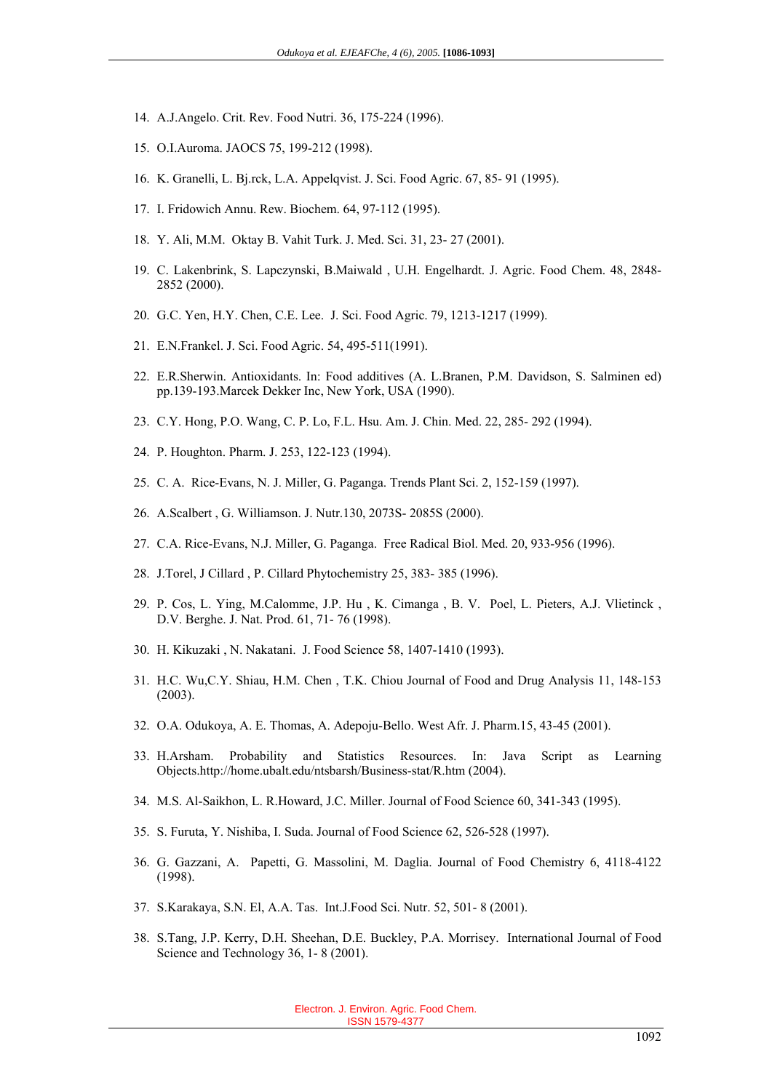- 14. A.J.Angelo. Crit. Rev. Food Nutri. 36, 175-224 (1996).
- 15. O.I.Auroma. JAOCS 75, 199-212 (1998).
- 16. K. Granelli, L. Bj.rck, L.A. Appelqvist. J. Sci. Food Agric. 67, 85- 91 (1995).
- 17. I. Fridowich Annu. Rew. Biochem. 64, 97-112 (1995).
- 18. Y. Ali, M.M. Oktay B. Vahit Turk. J. Med. Sci. 31, 23- 27 (2001).
- 19. C. Lakenbrink, S. Lapczynski, B.Maiwald , U.H. Engelhardt. J. Agric. Food Chem. 48, 2848- 2852 (2000).
- 20. G.C. Yen, H.Y. Chen, C.E. Lee. J. Sci. Food Agric. 79, 1213-1217 (1999).
- 21. E.N.Frankel. J. Sci. Food Agric. 54, 495-511(1991).
- 22. E.R.Sherwin. Antioxidants. In: Food additives (A. L.Branen, P.M. Davidson, S. Salminen ed) pp.139-193.Marcek Dekker Inc, New York, USA (1990).
- 23. C.Y. Hong, P.O. Wang, C. P. Lo, F.L. Hsu. Am. J. Chin. Med. 22, 285- 292 (1994).
- 24. P. Houghton. Pharm. J. 253, 122-123 (1994).
- 25. C. A. Rice-Evans, N. J. Miller, G. Paganga. Trends Plant Sci. 2, 152-159 (1997).
- 26. A.Scalbert , G. Williamson. J. Nutr.130, 2073S- 2085S (2000).
- 27. C.A. Rice-Evans, N.J. Miller, G. Paganga. Free Radical Biol. Med. 20, 933-956 (1996).
- 28. J.Torel, J Cillard , P. Cillard Phytochemistry 25, 383- 385 (1996).
- 29. P. Cos, L. Ying, M.Calomme, J.P. Hu , K. Cimanga , B. V. Poel, L. Pieters, A.J. Vlietinck , D.V. Berghe. J. Nat. Prod. 61, 71- 76 (1998).
- 30. H. Kikuzaki , N. Nakatani. J. Food Science 58, 1407-1410 (1993).
- 31. H.C. Wu,C.Y. Shiau, H.M. Chen , T.K. Chiou Journal of Food and Drug Analysis 11, 148-153 (2003).
- 32. O.A. Odukoya, A. E. Thomas, A. Adepoju-Bello. West Afr. J. Pharm.15, 43-45 (2001).
- 33. H.Arsham. Probability and Statistics Resources. In: Java Script as Learning Objects.http://home.ubalt.edu/ntsbarsh/Business-stat/R.htm (2004).
- 34. M.S. Al-Saikhon, L. R.Howard, J.C. Miller. Journal of Food Science 60, 341-343 (1995).
- 35. S. Furuta, Y. Nishiba, I. Suda. Journal of Food Science 62, 526-528 (1997).
- 36. G. Gazzani, A. Papetti, G. Massolini, M. Daglia. Journal of Food Chemistry 6, 4118-4122 (1998).
- 37. S.Karakaya, S.N. El, A.A. Tas. Int.J.Food Sci. Nutr. 52, 501- 8 (2001).
- 38. S.Tang, J.P. Kerry, D.H. Sheehan, D.E. Buckley, P.A. Morrisey. International Journal of Food Science and Technology 36, 1-8 (2001).

Electron. J. Environ. Agric. Food Chem. ISSN 1579-4377